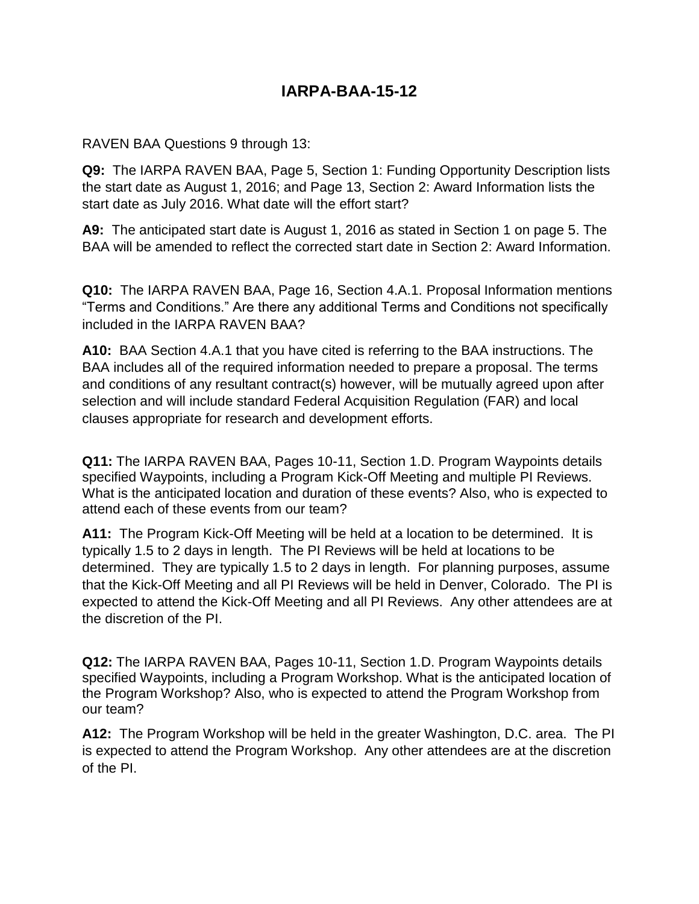## **IARPA-BAA-15-12**

RAVEN BAA Questions 9 through 13:

**Q9:** The IARPA RAVEN BAA, Page 5, Section 1: Funding Opportunity Description lists the start date as August 1, 2016; and Page 13, Section 2: Award Information lists the start date as July 2016. What date will the effort start?

**A9:** The anticipated start date is August 1, 2016 as stated in Section 1 on page 5. The BAA will be amended to reflect the corrected start date in Section 2: Award Information.

**Q10:** The IARPA RAVEN BAA, Page 16, Section 4.A.1. Proposal Information mentions "Terms and Conditions." Are there any additional Terms and Conditions not specifically included in the IARPA RAVEN BAA?

**A10:** BAA Section 4.A.1 that you have cited is referring to the BAA instructions. The BAA includes all of the required information needed to prepare a proposal. The terms and conditions of any resultant contract(s) however, will be mutually agreed upon after selection and will include standard Federal Acquisition Regulation (FAR) and local clauses appropriate for research and development efforts.

**Q11:** The IARPA RAVEN BAA, Pages 10-11, Section 1.D. Program Waypoints details specified Waypoints, including a Program Kick-Off Meeting and multiple PI Reviews. What is the anticipated location and duration of these events? Also, who is expected to attend each of these events from our team?

**A11:** The Program Kick-Off Meeting will be held at a location to be determined. It is typically 1.5 to 2 days in length. The PI Reviews will be held at locations to be determined. They are typically 1.5 to 2 days in length. For planning purposes, assume that the Kick-Off Meeting and all PI Reviews will be held in Denver, Colorado. The PI is expected to attend the Kick-Off Meeting and all PI Reviews. Any other attendees are at the discretion of the PI.

**Q12:** The IARPA RAVEN BAA, Pages 10-11, Section 1.D. Program Waypoints details specified Waypoints, including a Program Workshop. What is the anticipated location of the Program Workshop? Also, who is expected to attend the Program Workshop from our team?

**A12:** The Program Workshop will be held in the greater Washington, D.C. area. The PI is expected to attend the Program Workshop. Any other attendees are at the discretion of the PI.